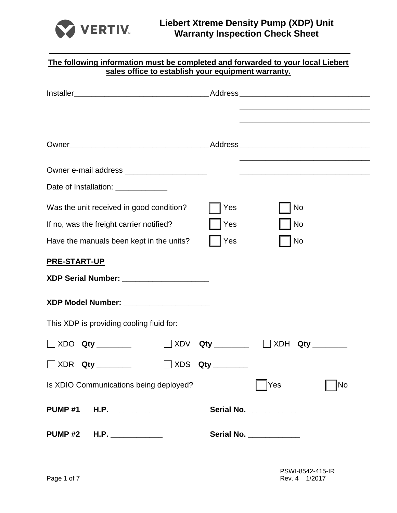

| The following information must be completed and forwarded to your local Liebert<br>sales office to establish your equipment warranty. |                                                                                                                                                                                                                                      |  |
|---------------------------------------------------------------------------------------------------------------------------------------|--------------------------------------------------------------------------------------------------------------------------------------------------------------------------------------------------------------------------------------|--|
|                                                                                                                                       |                                                                                                                                                                                                                                      |  |
|                                                                                                                                       |                                                                                                                                                                                                                                      |  |
| Owner e-mail address _______________________                                                                                          | <u> 2008 - Johann Stoff, deutscher Stoffen und der Stoffen und der Stoffen und der Stoffen und der Stoffen und der Stoffen und der Stoffen und der Stoffen und der Stoffen und der Stoffen und der Stoffen und der Stoffen und d</u> |  |
| Date of Installation: ____________                                                                                                    |                                                                                                                                                                                                                                      |  |
| Was the unit received in good condition?                                                                                              | No<br>Yes                                                                                                                                                                                                                            |  |
| If no, was the freight carrier notified?                                                                                              | Yes<br>No                                                                                                                                                                                                                            |  |
| Have the manuals been kept in the units?                                                                                              | Yes<br><b>No</b>                                                                                                                                                                                                                     |  |
| PRE-START-UP                                                                                                                          |                                                                                                                                                                                                                                      |  |
| XDP Serial Number: ____________________                                                                                               |                                                                                                                                                                                                                                      |  |
| XDP Model Number: _____________________                                                                                               |                                                                                                                                                                                                                                      |  |
| This XDP is providing cooling fluid for:                                                                                              |                                                                                                                                                                                                                                      |  |
| $\Box$ XDO $\,$ Qty $\_$<br>XDV                                                                                                       | XDH<br>Qty<br>Qty                                                                                                                                                                                                                    |  |
| <b>NOR Qty ________</b>                                                                                                               | $\Box$ XDS Qty ________                                                                                                                                                                                                              |  |
| Is XDIO Communications being deployed?                                                                                                | Yes<br>No                                                                                                                                                                                                                            |  |
| PUMP #1 H.P. ____________                                                                                                             | Serial No. ___________                                                                                                                                                                                                               |  |
| <b>PUMP #2</b>                                                                                                                        | Serial No. ___________                                                                                                                                                                                                               |  |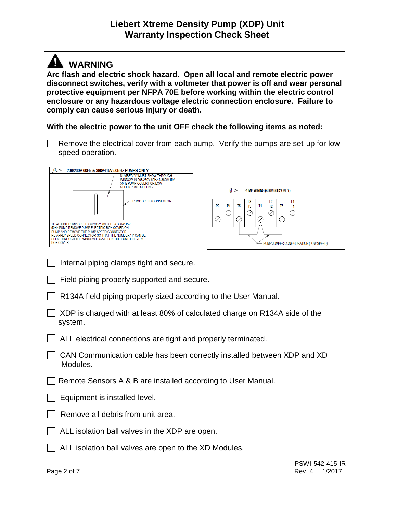## **WARNING**

**Arc flash and electric shock hazard. Open all local and remote electric power disconnect switches, verify with a voltmeter that power is off and wear personal protective equipment per NFPA 70E before working within the electric control enclosure or any hazardous voltage electric connection enclosure. Failure to comply can cause serious injury or death.**

**With the electric power to the unit OFF check the following items as noted:**

Remove the electrical cover from each pump. Verify the pumps are set-up for low speed operation.



- $\Box$  Internal piping clamps tight and secure.
- Field piping properly supported and secure.
- R134A field piping properly sized according to the User Manual.
- XDP is charged with at least 80% of calculated charge on R134A side of the system.
- | ALL electrical connections are tight and properly terminated.
- CAN Communication cable has been correctly installed between XDP and XD Modules.
- Remote Sensors A & B are installed according to User Manual.
- $\Box$  Equipment is installed level.
- Remove all debris from unit area.
- ALL isolation ball valves in the XDP are open.
- $\Box$  ALL isolation ball valves are open to the XD Modules.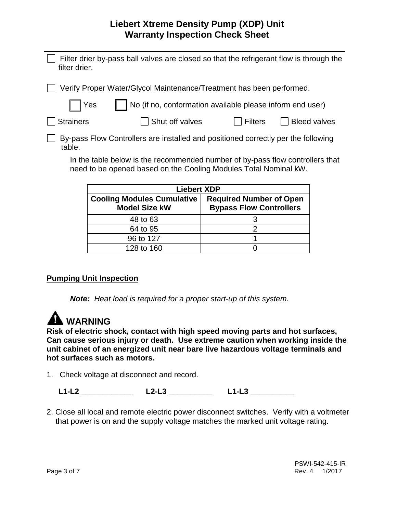### **Liebert Xtreme Density Pump (XDP) Unit Warranty Inspection Check Sheet**

| filter drier.                                                                     | Filter drier by-pass ball valves are closed so that the refrigerant flow is through the |         |                     |
|-----------------------------------------------------------------------------------|-----------------------------------------------------------------------------------------|---------|---------------------|
| Verify Proper Water/Glycol Maintenance/Treatment has been performed.              |                                                                                         |         |                     |
| $\Box$ Yes                                                                        | No (if no, conformation available please inform end user)                               |         |                     |
| <b>Strainers</b>                                                                  | Shut off valves                                                                         | Filters | <b>Bleed valves</b> |
| By-pass Flow Controllers are installed and positioned correctly per the following |                                                                                         |         |                     |

In the table below is the recommended number of by-pass flow controllers that need to be opened based on the Cooling Modules Total Nominal kW.

| <b>Liebert XDP</b>                                        |                                                                  |  |
|-----------------------------------------------------------|------------------------------------------------------------------|--|
| <b>Cooling Modules Cumulative</b><br><b>Model Size kW</b> | <b>Required Number of Open</b><br><b>Bypass Flow Controllers</b> |  |
| 48 to 63                                                  |                                                                  |  |
| 64 to 95                                                  |                                                                  |  |
| 96 to 127                                                 |                                                                  |  |
| 128 to 160                                                |                                                                  |  |

### **Pumping Unit Inspection**

*Note:**Heat load is required for a proper start-up of this system.*

# **MARNING**

table.

**Risk of electric shock, contact with high speed moving parts and hot surfaces, Can cause serious injury or death. Use extreme caution when working inside the unit cabinet of an energized unit near bare live hazardous voltage terminals and hot surfaces such as motors.**

1. Check voltage at disconnect and record.

**L1-L2 \_\_\_\_\_\_\_\_\_\_\_\_ L2-L3 \_\_\_\_\_\_\_\_\_\_ L1-L3 \_\_\_\_\_\_\_\_\_\_** 

2. Close all local and remote electric power disconnect switches. Verify with a voltmeter that power is on and the supply voltage matches the marked unit voltage rating.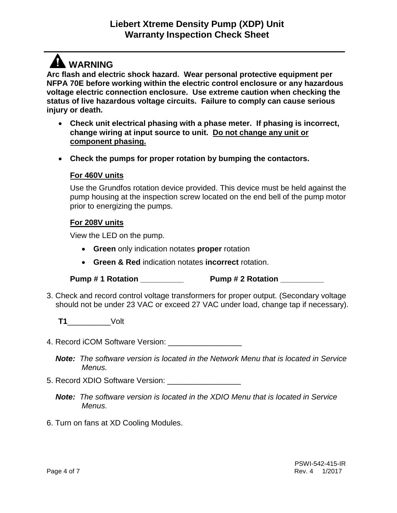## **A** WARNING

**Arc flash and electric shock hazard. Wear personal protective equipment per NFPA 70E before working within the electric control enclosure or any hazardous voltage electric connection enclosure. Use extreme caution when checking the status of live hazardous voltage circuits. Failure to comply can cause serious injury or death.**

- **Check unit electrical phasing with a phase meter. If phasing is incorrect, change wiring at input source to unit. Do not change any unit or component phasing.**
- **Check the pumps for proper rotation by bumping the contactors.**

### **For 460V units**

Use the Grundfos rotation device provided. This device must be held against the pump housing at the inspection screw located on the end bell of the pump motor prior to energizing the pumps.

#### **For 208V units**

View the LED on the pump.

- **Green** only indication notates **proper** rotation
- **Green & Red** indication notates **incorrect** rotation.
- **Pump # 1 Rotation Pump # 2 Rotation**
- 3. Check and record control voltage transformers for proper output. (Secondary voltage should not be under 23 VAC or exceed 27 VAC under load, change tap if necessary).

**T1**\_\_\_\_\_\_\_\_\_\_Volt

4. Record iCOM Software Version: \_\_\_\_\_\_\_\_\_\_\_\_\_\_\_\_\_

*Note: The software version is located in the Network Menu that is located in Service Menus.*

- 5. Record XDIO Software Version: \_\_\_\_\_\_\_\_\_\_\_\_\_\_\_\_\_
	- *Note: The software version is located in the XDIO Menu that is located in Service Menus.*
- 6. Turn on fans at XD Cooling Modules.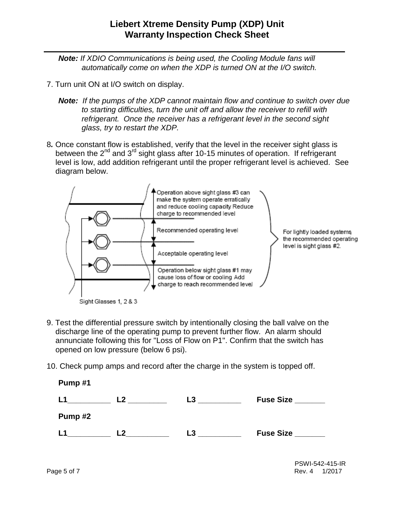*Note: If XDIO Communications is being used, the Cooling Module fans will automatically come on when the XDP is turned ON at the I/O switch.*

- 7. Turn unit ON at I/O switch on display.
	- *Note: If the pumps of the XDP cannot maintain flow and continue to switch over due to starting difficulties, turn the unit off and allow the receiver to refill with refrigerant. Once the receiver has a refrigerant level in the second sight glass, try to restart the XDP.*
- 8*.* Once constant flow is established, verify that the level in the receiver sight glass is between the  $2^{nd}$  and  $3^{rd}$  sight glass after 10-15 minutes of operation. If refrigerant level is low, add addition refrigerant until the proper refrigerant level is achieved. See diagram below.



- 9. Test the differential pressure switch by intentionally closing the ball valve on the discharge line of the operating pump to prevent further flow. An alarm should annunciate following this for "Loss of Flow on P1". Confirm that the switch has opened on low pressure (below 6 psi).
- 10. Check pump amps and record after the charge in the system is topped off.

| Pump#1 |                |    |                  |
|--------|----------------|----|------------------|
| L1     | L <sub>2</sub> | L3 | <b>Fuse Size</b> |
| Pump#2 |                |    |                  |
| L1     | L2             | L3 | <b>Fuse Size</b> |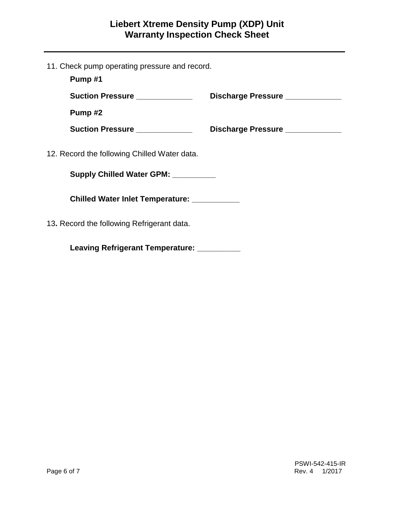11. Check pump operating pressure and record.

| Pump#1                                       |                                 |
|----------------------------------------------|---------------------------------|
| Suction Pressure ____________                | Discharge Pressure ____________ |
| Pump#2                                       |                                 |
| Suction Pressure ____________                | Discharge Pressure ____________ |
| 12. Record the following Chilled Water data. |                                 |
| Supply Chilled Water GPM: _________          |                                 |
| Chilled Water Inlet Temperature: ___________ |                                 |
| 13. Record the following Refrigerant data.   |                                 |
|                                              |                                 |

**Leaving Refrigerant Temperature: \_\_\_\_\_\_\_\_\_\_**